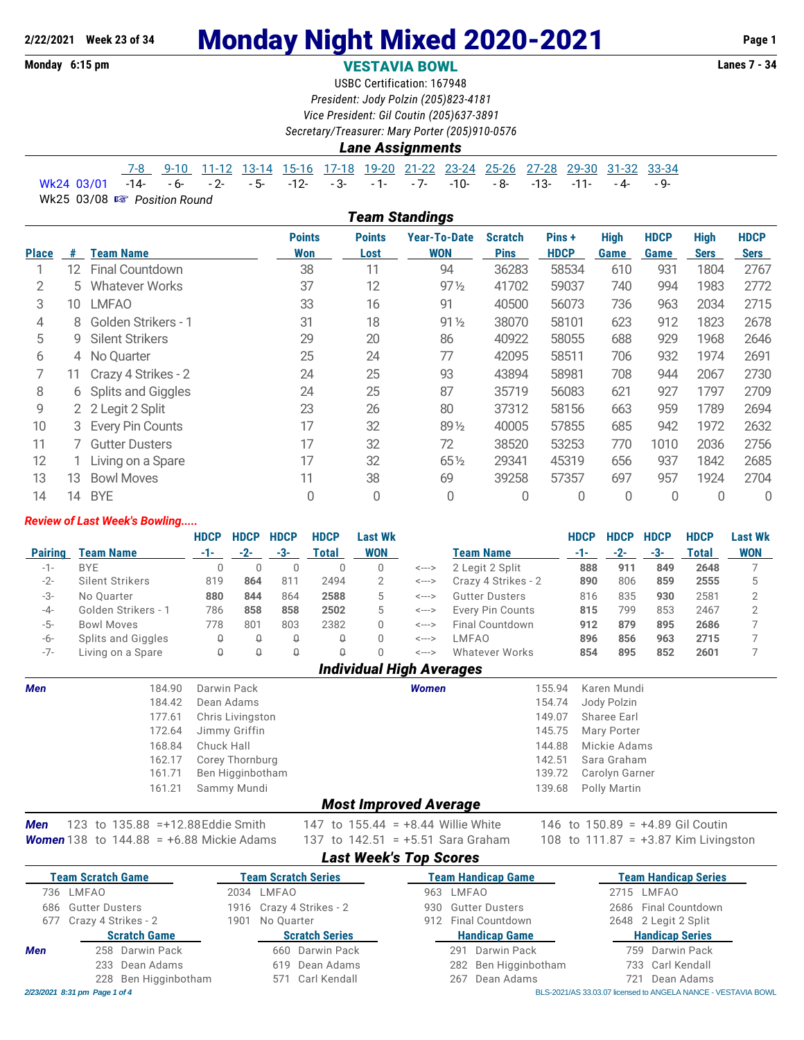# **2/22/2021 Week 23 of 34 Monday Night Mixed 2020-2021** Page 1<br>Monday 6:15 pm<br>**VESTAVIA BOWI** WESTAVIA ROWI

#### **Monday 6:15 pm VESTAVIA BOWL**

USBC Certification: 167948 *President: Jody Polzin (205)823-4181 Vice President: Gil Coutin (205)637-3891*

*Secretary/Treasurer: Mary Porter (205)910-0576*

#### *Lane Assignments*

|                                                                         |  |  |  |  |  |  | 7-8  9-10  11-12 13-14 15-16 17-18 19-20 21-22 23-24 25-26 27-28 29-30 31-32 33-34 |  |
|-------------------------------------------------------------------------|--|--|--|--|--|--|------------------------------------------------------------------------------------|--|
| Wk24 03/01 -14- -6- -2- -5- -12- -3- -1- -7- -10- -8- -13- -11- -4- -9- |  |  |  |  |  |  |                                                                                    |  |

Wk25 03/08  $\mathbb{R}$  Position Round

|              | <b>Team Standings</b> |                        |                      |                       |                                   |                               |                       |                     |                     |                            |                            |  |  |
|--------------|-----------------------|------------------------|----------------------|-----------------------|-----------------------------------|-------------------------------|-----------------------|---------------------|---------------------|----------------------------|----------------------------|--|--|
| <b>Place</b> | #                     | Team Name              | <b>Points</b><br>Won | <b>Points</b><br>Lost | <b>Year-To-Date</b><br><b>WON</b> | <b>Scratch</b><br><b>Pins</b> | Pins +<br><b>HDCP</b> | <b>High</b><br>Game | <b>HDCP</b><br>Game | <b>High</b><br><b>Sers</b> | <b>HDCP</b><br><b>Sers</b> |  |  |
|              | $12 \overline{ }$     | <b>Final Countdown</b> | 38                   | 11                    | 94                                | 36283                         | 58534                 | 610                 | 931                 | 1804                       | 2767                       |  |  |
| 2            | 5.                    | <b>Whatever Works</b>  | 37                   | 12                    | $97\frac{1}{2}$                   | 41702                         | 59037                 | 740                 | 994                 | 1983                       | 2772                       |  |  |
| 3            | 10                    | <b>LMFAO</b>           | 33                   | 16                    | 91                                | 40500                         | 56073                 | 736                 | 963                 | 2034                       | 2715                       |  |  |
| 4            | 8                     | Golden Strikers - 1    | 31                   | 18                    | $91\frac{1}{2}$                   | 38070                         | 58101                 | 623                 | 912                 | 1823                       | 2678                       |  |  |
| 5            | 9                     | <b>Silent Strikers</b> | 29                   | 20                    | 86                                | 40922                         | 58055                 | 688                 | 929                 | 1968                       | 2646                       |  |  |
| 6            | 4                     | No Quarter             | 25                   | 24                    | 77                                | 42095                         | 58511                 | 706                 | 932                 | 1974                       | 2691                       |  |  |
|              | 11                    | Crazy 4 Strikes - 2    | 24                   | 25                    | 93                                | 43894                         | 58981                 | 708                 | 944                 | 2067                       | 2730                       |  |  |
| 8            | 6                     | Splits and Giggles     | 24                   | 25                    | 87                                | 35719                         | 56083                 | 621                 | 927                 | 1797                       | 2709                       |  |  |
| 9            |                       | 2 2 Legit 2 Split      | 23                   | 26                    | 80                                | 37312                         | 58156                 | 663                 | 959                 | 1789                       | 2694                       |  |  |
| 10           | 3                     | Every Pin Counts       | 17                   | 32                    | 891/2                             | 40005                         | 57855                 | 685                 | 942                 | 1972                       | 2632                       |  |  |
| 11           |                       | <b>Gutter Dusters</b>  | 17                   | 32                    | 72                                | 38520                         | 53253                 | 770                 | 1010                | 2036                       | 2756                       |  |  |
| 12           |                       | Living on a Spare      | 17                   | 32                    | 651/2                             | 29341                         | 45319                 | 656                 | 937                 | 1842                       | 2685                       |  |  |
| 13           | 13                    | <b>Bowl Moves</b>      | 11                   | 38                    | 69                                | 39258                         | 57357                 | 697                 | 957                 | 1924                       | 2704                       |  |  |
| 14           | 14                    | <b>BYE</b>             | 0                    | 0                     | 0                                 | 0                             | 0                     | $\overline{0}$      |                     | 0                          | 0                          |  |  |

#### *Review of Last Week's Bowling.....*

|                |                     | <b>HDCP</b> | <b>HDCP</b>     | <b>HDCP</b> | <b>HDCP</b> | Last Wk    |       |                         | <b>HDCP</b> | <b>HDCP</b> | <b>HDCP</b> | <b>HDCP</b> | <b>Last Wk</b> |
|----------------|---------------------|-------------|-----------------|-------------|-------------|------------|-------|-------------------------|-------------|-------------|-------------|-------------|----------------|
| <b>Pairing</b> | <b>Team Name</b>    |             | $-2-$           | -3-         | Total       | <b>WON</b> |       | <b>Team Name</b>        | -1-         | $-2-$       | -3-         | Total       | <b>WON</b>     |
| $-1-$          | <b>BYE</b>          | 0           |                 |             |             | 0          | <---> | 2 Legit 2 Split         | 888         | 911         | 849         | 2648        |                |
| $-2-$          | Silent Strikers     | 819         | 864             | 811         | 2494        |            | <---> | Crazy 4 Strikes - 2     | 890         | 806         | 859         | 2555        |                |
| -3-            | No Ouarter          | 880         | 844             | 864         | 2588        | 5.         | <---> | <b>Gutter Dusters</b>   | 816         | 835         | 930         | 2581        |                |
| -4-            | Golden Strikers - 1 | 786         | 858             | 858         | 2502        | 5.         | <---> | <b>Every Pin Counts</b> | 815         | 799         | 853         | 2467        |                |
| $-5-$          | <b>Bowl Moves</b>   | 778         | 80 <sup>2</sup> | 803         | 2382        | 0          | <---> | Final Countdown         | 912         | 879         | 895         | 2686        |                |
| -6-            | Splits and Giggles  | 0           | Q               | Q           |             | 0          | <---> | LMFAO                   | 896         | 856         | 963         | 2715        |                |
| $-7-$          | Living on a Spare   | 0           |                 | Q           |             | 0          | <---> | Whatever Works          | 854         | 895         | 852         | 2601        |                |
|                |                     |             |                 |             |             |            |       |                         |             |             |             |             |                |

#### *Individual High Averages*

| <b>Men</b> | 184.90 | Darwin Pack                  | <b>Women</b> | 155.94 | Karen Mundi           |
|------------|--------|------------------------------|--------------|--------|-----------------------|
|            | 184.42 | Dean Adams                   |              |        | 154.74 Jody Polzin    |
|            | 177.61 | Chris Livingston             |              | 149.07 | Sharee Earl           |
|            | 172.64 | Jimmy Griffin                |              |        | 145.75 Mary Porter    |
|            | 168.84 | Chuck Hall                   |              | 144.88 | Mickie Adams          |
|            | 162.17 | Corey Thornburg              |              | 142.51 | Sara Graham           |
|            | 161.71 | Ben Higginbotham             |              |        | 139.72 Carolyn Garner |
|            | 161.21 | Sammy Mundi                  |              | 139.68 | Polly Martin          |
|            |        | <b>Most Improved Average</b> |              |        |                       |

*Men* 123 to 135.88 = +12.88 Eddie Smith 147 to 155.44 = +8.44 Willie White 146 to 150.89 = +4.89 Gil Coutin *Women* 138 to 144.88 = +6.88 Mickie Adams 137 to 142.51 = +5.51 Sara Graham 108 to 111.87 = +3.87 Kim Livingston

*Last Week's Top Scores*

|                               | <b>Team Scratch Game</b>                   |  | <b>Team Scratch Series</b> |                        | <b>Team Handicap Game</b> |                                                               | <b>Team Handicap Series</b> |  |  |  |
|-------------------------------|--------------------------------------------|--|----------------------------|------------------------|---------------------------|---------------------------------------------------------------|-----------------------------|--|--|--|
|                               | 736 LMFAO                                  |  | 2034 LMFAO                 | 963 LMFAO              |                           |                                                               | 2715 LMFAO                  |  |  |  |
| 686                           | <b>Gutter Dusters</b>                      |  | 1916 Crazy 4 Strikes - 2   |                        | 930 Gutter Dusters        |                                                               | 2686 Final Countdown        |  |  |  |
|                               | 677 Crazy 4 Strikes - 2<br>1901 No Ouarter |  | 912                        | <b>Final Countdown</b> |                           | 2648 2 Legit 2 Split                                          |                             |  |  |  |
|                               | <b>Scratch Game</b>                        |  | <b>Scratch Series</b>      |                        | <b>Handicap Game</b>      |                                                               | <b>Handicap Series</b>      |  |  |  |
| <b>Men</b>                    | 258 Darwin Pack                            |  | 660 Darwin Pack            | 291                    | Darwin Pack               |                                                               | 759 Darwin Pack             |  |  |  |
|                               | 233 Dean Adams                             |  | 619 Dean Adams             |                        | 282 Ben Higginbotham      |                                                               | 733 Carl Kendall            |  |  |  |
|                               | 228 Ben Higginbotham                       |  | 571 Carl Kendall           |                        | 267 Dean Adams            | 721                                                           | Dean Adams                  |  |  |  |
| 2/23/2021 8:31 pm Page 1 of 4 |                                            |  |                            |                        |                           | BLS-2021/AS 33.03.07 licensed to ANGELA NANCE - VESTAVIA BOWL |                             |  |  |  |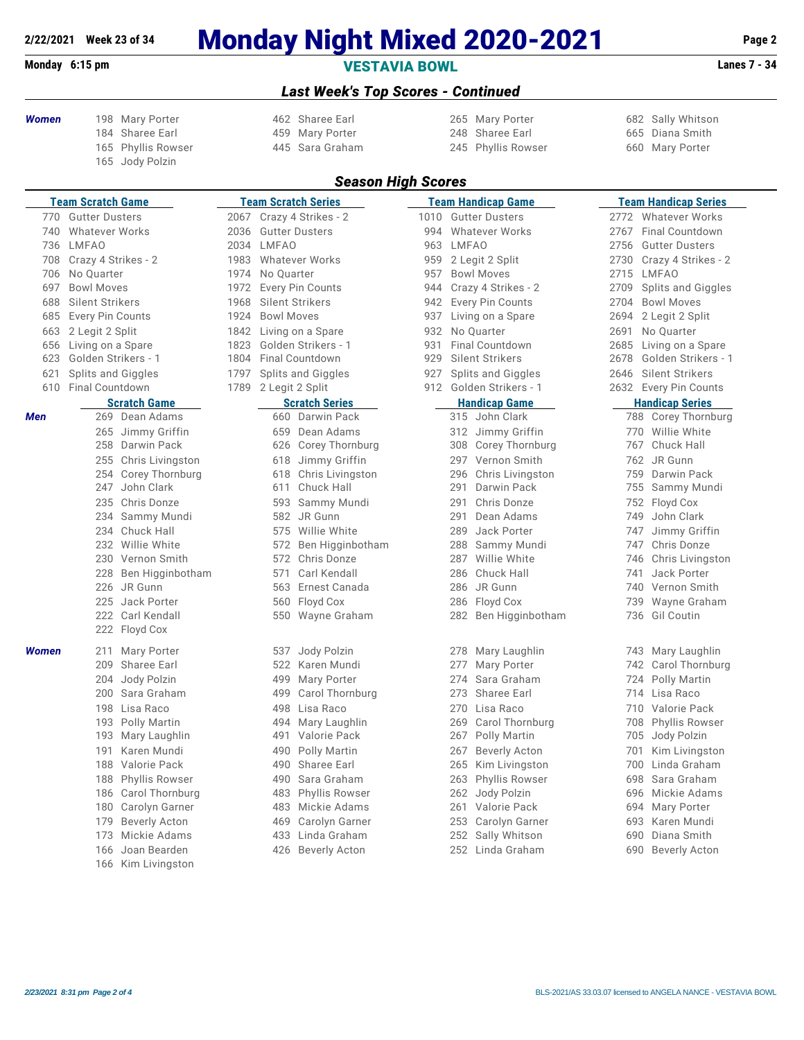### **2/22/2021 Week 23 of 34 Monday Night Mixed 2020-2021 Page 2**

### **Monday 6:15 pm VESTAVIA BOWL Lanes 7 - 34**

#### *Last Week's Top Scores - Continued*

- 
- 
- Jody Polzin
- 459 Mary Porter
- *Women* 198 Mary Porter 462 Sharee Earl 265 Mary Porter 682 Sally Whitson Phyllis Rowser 445 Sara Graham 245 Phyllis Rowser 660 Mary Porter

#### *Season High Scores*

|       | <b>Team Scratch Game</b>     |            |                   | <b>Team Scratch Series</b> |      |       | <u>Team Handicap Game</u> |      | <b>Team Handicap Series</b>              |  |  |  |  |
|-------|------------------------------|------------|-------------------|----------------------------|------|-------|---------------------------|------|------------------------------------------|--|--|--|--|
| 770   | <b>Gutter Dusters</b>        |            |                   | 2067 Crazy 4 Strikes - 2   | 1010 |       | <b>Gutter Dusters</b>     | 2772 | <b>Whatever Works</b>                    |  |  |  |  |
| 740   | <b>Whatever Works</b>        | 2036       |                   | <b>Gutter Dusters</b>      | 994  |       | <b>Whatever Works</b>     | 2767 | Final Countdown                          |  |  |  |  |
| 736   | LMFAO                        | 2034 LMFAO |                   |                            | 963  | LMFAO |                           | 2756 | <b>Gutter Dusters</b>                    |  |  |  |  |
| 708   | Crazy 4 Strikes - 2          | 1983       |                   | <b>Whatever Works</b>      | 959  |       | 2 Legit 2 Split           | 2730 | Crazy 4 Strikes - 2                      |  |  |  |  |
| 706   | No Quarter                   | 1974       | No Quarter        |                            | 957  |       | <b>Bowl Moves</b>         |      | 2715 LMFAO                               |  |  |  |  |
| 697   | <b>Bowl Moves</b>            | 1972       |                   | Every Pin Counts           | 944  |       | Crazy 4 Strikes - 2       |      | 2709 Splits and Giggles                  |  |  |  |  |
| 688   | Silent Strikers              | 1968       |                   | Silent Strikers            | 942  |       | <b>Every Pin Counts</b>   | 2704 | <b>Bowl Moves</b>                        |  |  |  |  |
| 685   | Every Pin Counts             | 1924       | <b>Bowl Moves</b> |                            | 937  |       | Living on a Spare         | 2694 | 2 Legit 2 Split                          |  |  |  |  |
| 663   | 2 Legit 2 Split              | 1842       |                   | Living on a Spare          | 932  |       | No Quarter                | 2691 | No Quarter                               |  |  |  |  |
| 656   | Living on a Spare            | 1823       |                   | Golden Strikers - 1        | 931  |       | Final Countdown           | 2685 | Living on a Spare                        |  |  |  |  |
| 623   | Golden Strikers - 1          | 1804       |                   | <b>Final Countdown</b>     | 929  |       | Silent Strikers           | 2678 | Golden Strikers - 1                      |  |  |  |  |
| 621   | Splits and Giggles           | 1797       |                   | <b>Splits and Giggles</b>  | 927  |       | <b>Splits and Giggles</b> | 2646 | <b>Silent Strikers</b>                   |  |  |  |  |
| 610   | <b>Final Countdown</b>       | 1789       |                   | 2 Legit 2 Split            |      |       | 912 Golden Strikers - 1   |      | 2632 Every Pin Counts                    |  |  |  |  |
|       | <b>Scratch Game</b>          |            |                   | <b>Scratch Series</b>      |      |       | <b>Handicap Game</b>      |      | <b>Handicap Series</b>                   |  |  |  |  |
| Men   | 269 Dean Adams               |            |                   | 660 Darwin Pack            |      |       | 315 John Clark            |      | 788<br>Corey Thornburg                   |  |  |  |  |
|       | 265 Jimmy Griffin            |            | 659               | Dean Adams                 |      |       | 312 Jimmy Griffin         |      | 770 Willie White                         |  |  |  |  |
|       | 258 Darwin Pack              |            | 626               | Corey Thornburg            |      |       | 308 Corey Thornburg       |      | Chuck Hall<br>767                        |  |  |  |  |
|       | 255 Chris Livingston         |            | 618               | Jimmy Griffin              |      |       | 297 Vernon Smith          |      | 762<br>JR Gunn                           |  |  |  |  |
|       | Corey Thornburg<br>254       |            | 618               | Chris Livingston           |      | 296   | Chris Livingston          |      | Darwin Pack<br>759                       |  |  |  |  |
|       | John Clark<br>247            |            | 611               | Chuck Hall                 |      | 291   | Darwin Pack               |      | 755 Sammy Mundi                          |  |  |  |  |
|       | 235 Chris Donze              |            | 593               | Sammy Mundi                |      | 291   | Chris Donze               |      | 752<br>Floyd Cox                         |  |  |  |  |
|       | 234 Sammy Mundi              |            |                   | 582 JR Gunn                |      | 291   | Dean Adams                |      | John Clark<br>749                        |  |  |  |  |
|       | 234 Chuck Hall               |            |                   | 575 Willie White           |      | 289   | Jack Porter               |      | 747                                      |  |  |  |  |
|       | 232 Willie White             |            | 572               | Ben Higginbotham           |      | 288   | Sammy Mundi               |      | Jimmy Griffin<br>Chris Donze<br>747      |  |  |  |  |
|       | 230 Vernon Smith             |            |                   | 572 Chris Donze            |      |       | 287 Willie White          |      | 746<br>Chris Livingston                  |  |  |  |  |
|       | 228 Ben Higginbotham         |            | 571               | Carl Kendall               |      | 286   | Chuck Hall                |      | Jack Porter<br>741                       |  |  |  |  |
|       | 226 JR Gunn                  |            | 563               | Ernest Canada              |      |       | 286 JR Gunn               |      | 740<br>Vernon Smith                      |  |  |  |  |
|       | 225 Jack Porter              |            | 560               |                            |      |       |                           |      | 739                                      |  |  |  |  |
|       | 222 Carl Kendall             |            |                   | Floyd Cox                  |      |       | 286 Floyd Cox             |      | Wayne Graham<br>736<br><b>Gil Coutin</b> |  |  |  |  |
|       | 222 Floyd Cox                |            |                   | 550 Wayne Graham           |      |       | 282 Ben Higginbotham      |      |                                          |  |  |  |  |
|       |                              |            |                   |                            |      |       |                           |      |                                          |  |  |  |  |
| Women | Mary Porter<br>211           |            | 537               | Jody Polzin                |      | 278   | Mary Laughlin             |      | Mary Laughlin<br>743                     |  |  |  |  |
|       | 209 Sharee Earl              |            | 522               | Karen Mundi                |      | 277   | Mary Porter               |      | Carol Thornburg<br>742                   |  |  |  |  |
|       | Jody Polzin<br>204           |            | 499               | Mary Porter                |      | 274   | Sara Graham               |      | Polly Martin<br>724                      |  |  |  |  |
|       | 200 Sara Graham              |            | 499               | Carol Thornburg            |      | 273   | Sharee Earl               |      | 714<br>Lisa Raco                         |  |  |  |  |
|       | 198 Lisa Raco                |            | 498               | Lisa Raco                  |      | 270   | Lisa Raco                 |      | 710<br>Valorie Pack                      |  |  |  |  |
|       | 193 Polly Martin             |            | 494               | Mary Laughlin              |      | 269   | Carol Thornburg           |      | 708<br><b>Phyllis Rowser</b>             |  |  |  |  |
|       | 193 Mary Laughlin            |            | 491               | Valorie Pack               |      | 267   | Polly Martin              |      | 705<br>Jody Polzin                       |  |  |  |  |
|       | Karen Mundi<br>191           |            | 490               | Polly Martin               |      | 267   | <b>Beverly Acton</b>      |      | 701<br>Kim Livingston                    |  |  |  |  |
|       | 188 Valorie Pack             |            | 490               | Sharee Earl                |      | 265   | Kim Livingston            |      | Linda Graham<br>700                      |  |  |  |  |
|       | <b>Phyllis Rowser</b><br>188 |            | 490               | Sara Graham                |      | 263   | Phyllis Rowser            |      | Sara Graham<br>698                       |  |  |  |  |
|       | 186 Carol Thornburg          |            | 483               | <b>Phyllis Rowser</b>      |      | 262   | Jody Polzin               |      | Mickie Adams<br>696                      |  |  |  |  |
|       | 180 Carolyn Garner           |            | 483               | Mickie Adams               |      | 261   | Valorie Pack              |      | 694<br>Mary Porter                       |  |  |  |  |
|       | Beverly Acton<br>179         |            | 469               | Carolyn Garner             |      | 253   | Carolyn Garner            |      | 693<br>Karen Mundi                       |  |  |  |  |
|       | 173 Mickie Adams             |            | 433               | Linda Graham               |      | 252   | Sally Whitson             |      | 690<br>Diana Smith                       |  |  |  |  |
|       | 166 Joan Bearden             |            | 426               | <b>Beverly Acton</b>       |      |       | 252 Linda Graham          |      | 690<br><b>Beverly Acton</b>              |  |  |  |  |
|       | 166 Kim Livinaston           |            |                   |                            |      |       |                           |      |                                          |  |  |  |  |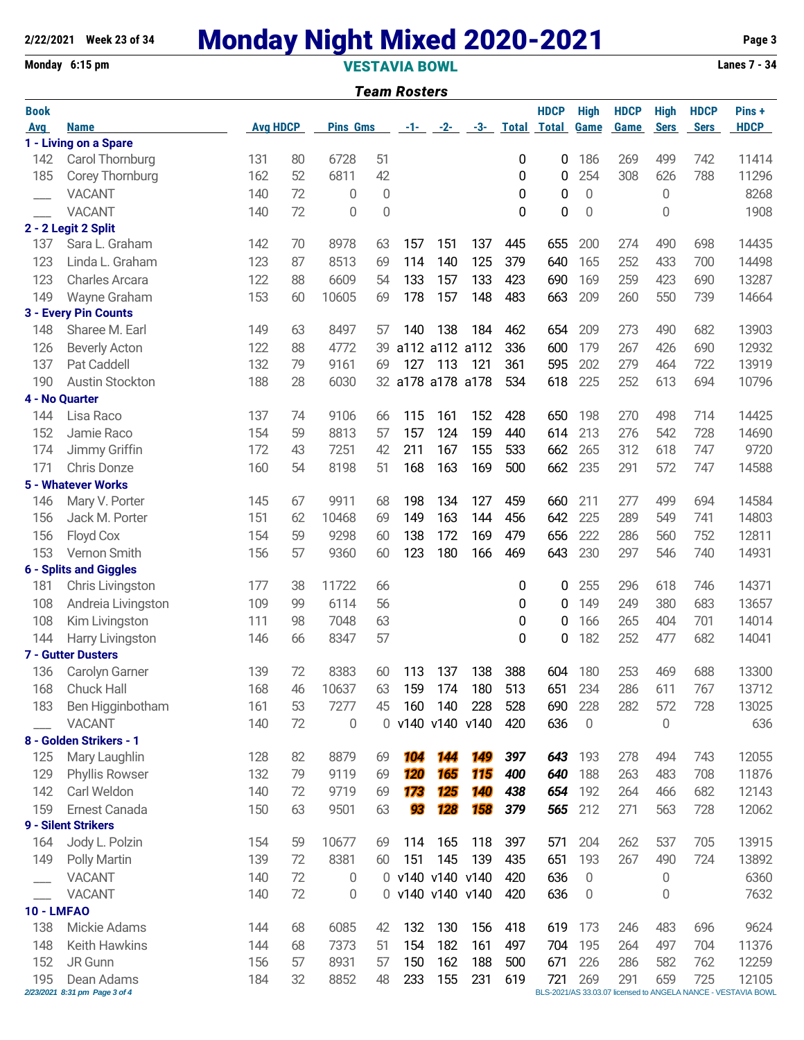## **2/22/2021 Week 23 of 34 Monday Night Mixed 2020-2021 Page 3**

**Monday 6:15 pm VESTAVIA BOWL Lanes 7 - 34**

|                   |                                             |                 |    |                 |             | <b>Team Rosters</b> |            |            |     |                                |                  |             |             |             |                                                                        |
|-------------------|---------------------------------------------|-----------------|----|-----------------|-------------|---------------------|------------|------------|-----|--------------------------------|------------------|-------------|-------------|-------------|------------------------------------------------------------------------|
| <b>Book</b>       |                                             |                 |    |                 |             |                     |            |            |     | <b>HDCP</b>                    | <b>High</b>      | <b>HDCP</b> | <b>High</b> | <b>HDCP</b> | Pins+                                                                  |
| <b>Avg</b>        | <b>Name</b>                                 | <b>Avg HDCP</b> |    | <b>Pins Gms</b> |             |                     |            |            |     | <u>-1- -2- -3- Total Total</u> | Game             | <b>Game</b> | <b>Sers</b> | <b>Sers</b> | <b>HDCP</b>                                                            |
|                   | 1 - Living on a Spare                       |                 |    |                 |             |                     |            |            |     |                                |                  |             |             |             |                                                                        |
| 142               | Carol Thornburg                             | 131             | 80 | 6728            | 51          |                     |            |            | 0   | 0                              | 186              | 269         | 499         | 742         | 11414                                                                  |
| 185               | Corey Thornburg                             | 162             | 52 | 6811            | 42          |                     |            |            | 0   | 0                              | 254              | 308         | 626         | 788         | 11296                                                                  |
|                   | <b>VACANT</b>                               | 140             | 72 | 0               | $\mathbf 0$ |                     |            |            | 0   | 0                              | 0                |             | 0           |             | 8268                                                                   |
|                   | <b>VACANT</b>                               | 140             | 72 | 0               | 0           |                     |            |            | 0   | 0                              | 0                |             | 0           |             | 1908                                                                   |
|                   | 2 - 2 Legit 2 Split                         |                 |    |                 |             |                     |            |            |     |                                |                  |             |             |             |                                                                        |
| 137               | Sara L. Graham                              | 142             | 70 | 8978            | 63          | 157                 | 151        | 137        | 445 | 655                            | 200              | 274         | 490         | 698         | 14435                                                                  |
| 123               | Linda L. Graham                             | 123             | 87 | 8513            | 69          | 114                 | 140        | 125        | 379 | 640                            | 165              | 252         | 433         | 700         | 14498                                                                  |
| 123               | <b>Charles Arcara</b>                       | 122             | 88 | 6609            | 54          | 133                 | 157        | 133        | 423 | 690                            | 169              | 259         | 423         | 690         | 13287                                                                  |
| 149               | Wayne Graham                                | 153             | 60 | 10605           | 69          | 178                 | 157        | 148        | 483 | 663                            | 209              | 260         | 550         | 739         | 14664                                                                  |
|                   | 3 - Every Pin Counts                        |                 |    |                 |             |                     |            |            |     |                                |                  |             |             |             |                                                                        |
| 148               | Sharee M. Earl                              | 149             | 63 | 8497            | 57          | 140                 | 138        | 184        | 462 | 654                            | 209              | 273         | 490         | 682         | 13903                                                                  |
| 126               | <b>Beverly Acton</b>                        | 122             | 88 | 4772            | 39          | a112 a112 a112      |            |            | 336 | 600                            | 179              | 267         | 426         | 690         | 12932                                                                  |
| 137               | Pat Caddell                                 | 132             | 79 | 9161            | 69          | 127                 | 113        | 121        | 361 | 595                            | 202              | 279         | 464         | 722         | 13919                                                                  |
| 190               | Austin Stockton                             | 188             | 28 | 6030            |             | 32 a178 a178 a178   |            |            | 534 | 618                            | 225              | 252         | 613         | 694         | 10796                                                                  |
|                   | 4 - No Quarter                              |                 |    |                 |             |                     |            |            |     |                                |                  |             |             |             |                                                                        |
| 144               | Lisa Raco                                   | 137             | 74 | 9106            | 66          | 115                 | 161        | 152        | 428 | 650                            | 198              | 270         | 498         | 714         | 14425                                                                  |
| 152               | Jamie Raco                                  | 154             | 59 | 8813            | 57          | 157                 | 124        | 159        | 440 | 614                            | 213              | 276         | 542         | 728         | 14690                                                                  |
| 174               | Jimmy Griffin                               | 172             | 43 | 7251            | 42          | 211                 | 167        | 155        | 533 | 662                            | 265              | 312         | 618         | 747         | 9720                                                                   |
| 171               | Chris Donze                                 | 160             | 54 | 8198            | 51          | 168                 | 163        | 169        | 500 | 662                            | 235              | 291         | 572         | 747         | 14588                                                                  |
|                   | 5 - Whatever Works                          |                 |    |                 |             |                     |            |            |     |                                |                  |             |             |             |                                                                        |
| 146               | Mary V. Porter                              | 145             | 67 | 9911            | 68          | 198                 | 134        | 127        | 459 | 660                            | 211              | 277         | 499         | 694         | 14584                                                                  |
| 156               | Jack M. Porter                              | 151             | 62 | 10468           | 69          | 149                 | 163        | 144        | 456 | 642                            | 225              | 289         | 549         | 741         | 14803                                                                  |
| 156               | Floyd Cox                                   | 154             | 59 | 9298            | 60          | 138                 | 172        | 169        | 479 | 656                            | 222              | 286         | 560         | 752         | 12811                                                                  |
| 153               | Vernon Smith                                | 156             | 57 | 9360            | 60          | 123                 | 180        | 166        | 469 | 643                            | 230              | 297         | 546         | 740         | 14931                                                                  |
|                   | <b>6 - Splits and Giggles</b>               |                 |    |                 |             |                     |            |            |     |                                |                  |             |             |             |                                                                        |
| 181               | Chris Livingston                            | 177             | 38 | 11722           | 66          |                     |            |            | 0   | 0                              | 255              | 296         | 618         | 746         | 14371                                                                  |
| 108               | Andreia Livingston                          | 109             | 99 | 6114            | 56          |                     |            |            | 0   | 0                              | 149              | 249         | 380         | 683         | 13657                                                                  |
| 108               | Kim Livingston                              | 111             | 98 | 7048            | 63          |                     |            |            | 0   | 0                              | 166              | 265         | 404         | 701         | 14014                                                                  |
| 144               | Harry Livingston                            | 146             | 66 | 8347            | 57          |                     |            |            | 0   | 0                              | 182              | 252         | 477         | 682         | 14041                                                                  |
|                   | 7 - Gutter Dusters                          |                 |    |                 |             |                     |            |            |     |                                |                  |             |             |             |                                                                        |
|                   | 136 Carolyn Garner                          | 139             | 72 | 8383            | 60          | 113                 | 137        | 138        | 388 | 604                            | 180              | 253         | 469         | 688         | 13300                                                                  |
| 168               | Chuck Hall                                  | 168             | 46 | 10637           | 63          | 159                 | 174        | 180        | 513 | 651                            | 234              | 286         | 611         | 767         | 13712                                                                  |
| 183               | Ben Higginbotham                            | 161             | 53 | 7277            | 45          | 160                 | 140        | 228        | 528 | 690                            | 228              | 282         | 572         | 728         | 13025                                                                  |
|                   | <b>VACANT</b>                               | 140             | 72 | 0               |             | 0 v140 v140 v140    |            |            | 420 | 636                            | $\boldsymbol{0}$ |             | 0           |             | 636                                                                    |
|                   | 8 - Golden Strikers - 1                     |                 |    |                 |             |                     |            |            |     |                                |                  |             |             |             |                                                                        |
| 125               | Mary Laughlin                               | 128             | 82 | 8879            | 69          | 104                 | 144        | 149        | 397 | 643                            | 193              | 278         | 494         | 743         | 12055                                                                  |
| 129               | Phyllis Rowser                              | 132             | 79 | 9119            | 69          | <b>120</b>          | 165        | 115        | 400 | 640                            | 188              | 263         | 483         | 708         | 11876                                                                  |
| 142               | Carl Weldon                                 | 140             | 72 | 9719            | 69          | 173                 | 125        | <b>140</b> | 438 | 654                            | 192              | 264         | 466         | 682         | 12143                                                                  |
| 159               | Ernest Canada                               | 150             | 63 | 9501            | 63          | 93                  | <b>128</b> | 158        | 379 | 565                            | 212              | 271         | 563         | 728         | 12062                                                                  |
|                   | 9 - Silent Strikers                         |                 |    |                 |             |                     |            |            |     |                                |                  |             |             |             |                                                                        |
| 164               | Jody L. Polzin                              | 154             | 59 | 10677           | 69          | 114                 | 165        | 118        | 397 | 571                            | 204              | 262         | 537         | 705         | 13915                                                                  |
| 149               | <b>Polly Martin</b>                         | 139             | 72 | 8381            | 60          | 151                 | 145        | 139        | 435 | 651                            | 193              | 267         | 490         | 724         | 13892                                                                  |
|                   | <b>VACANT</b>                               | 140             | 72 | 0               |             | 0 v140 v140 v140    |            |            | 420 | 636                            | 0                |             | 0           |             | 6360                                                                   |
|                   | <b>VACANT</b>                               | 140             | 72 | 0               |             | 0 v140 v140 v140    |            |            | 420 | 636                            | $\boldsymbol{0}$ |             | 0           |             | 7632                                                                   |
| <b>10 - LMFAO</b> |                                             |                 |    |                 |             |                     |            |            |     |                                |                  |             |             |             |                                                                        |
| 138               | Mickie Adams                                | 144             | 68 | 6085            | 42          | 132                 | 130        | 156        | 418 | 619                            | 173              | 246         | 483         | 696         | 9624                                                                   |
| 148               | Keith Hawkins                               | 144             | 68 | 7373            | 51          | 154                 | 182        | 161        | 497 | 704                            | 195              | 264         | 497         | 704         | 11376                                                                  |
| 152               | JR Gunn                                     | 156             | 57 | 8931            | 57          | 150                 | 162        | 188        | 500 | 671                            | 226              | 286         | 582         | 762         | 12259                                                                  |
| 195               | Dean Adams<br>2/23/2021 8:31 pm Page 3 of 4 | 184             | 32 | 8852            | 48          | 233                 | 155        | 231        | 619 | 721                            | 269              | 291         | 659         | 725         | 12105<br>BLS-2021/AS 33.03.07 licensed to ANGELA NANCE - VESTAVIA BOWL |